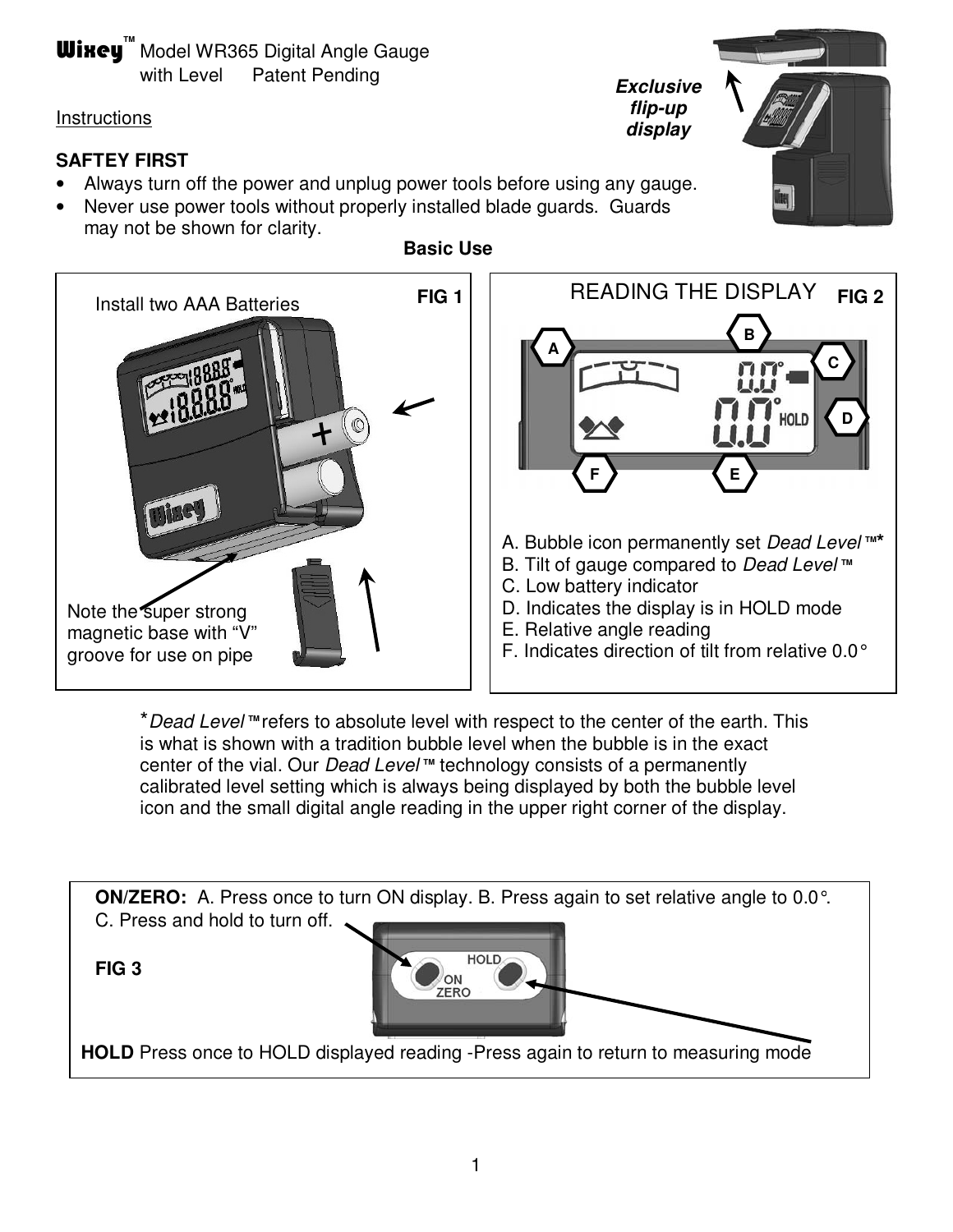# **Wixey**<sup>M</sup> Model WR365 Digital Angle Gauge with Level Patent Pending

### **Instructions**

## **SAFTEY FIRST**

- Always turn off the power and unplug power tools before using any gauge.
- Never use power tools without properly installed blade quards. Guards may not be shown for clarity. **Basic Use**



**Exclusive flip-up display FIG 1** READING THE DISPLAY A. Bubble icon permanently set *Dead Level* ™<sup>\*</sup> **A B C D F E FIG 2** 

- B. Tilt of gauge compared to *Dead Level* ™
- C. Low battery indicator
- D. Indicates the display is in HOLD mode
- E. Relative angle reading
- F. Indicates direction of tilt from relative 0.0°

\*Dead Level<sup>™</sup> refers to absolute level with respect to the center of the earth. This is what is shown with a tradition bubble level when the bubble is in the exact center of the vial. Our *Dead Level* ™ technology consists of a permanently calibrated level setting which is always being displayed by both the bubble level icon and the small digital angle reading in the upper right corner of the display.



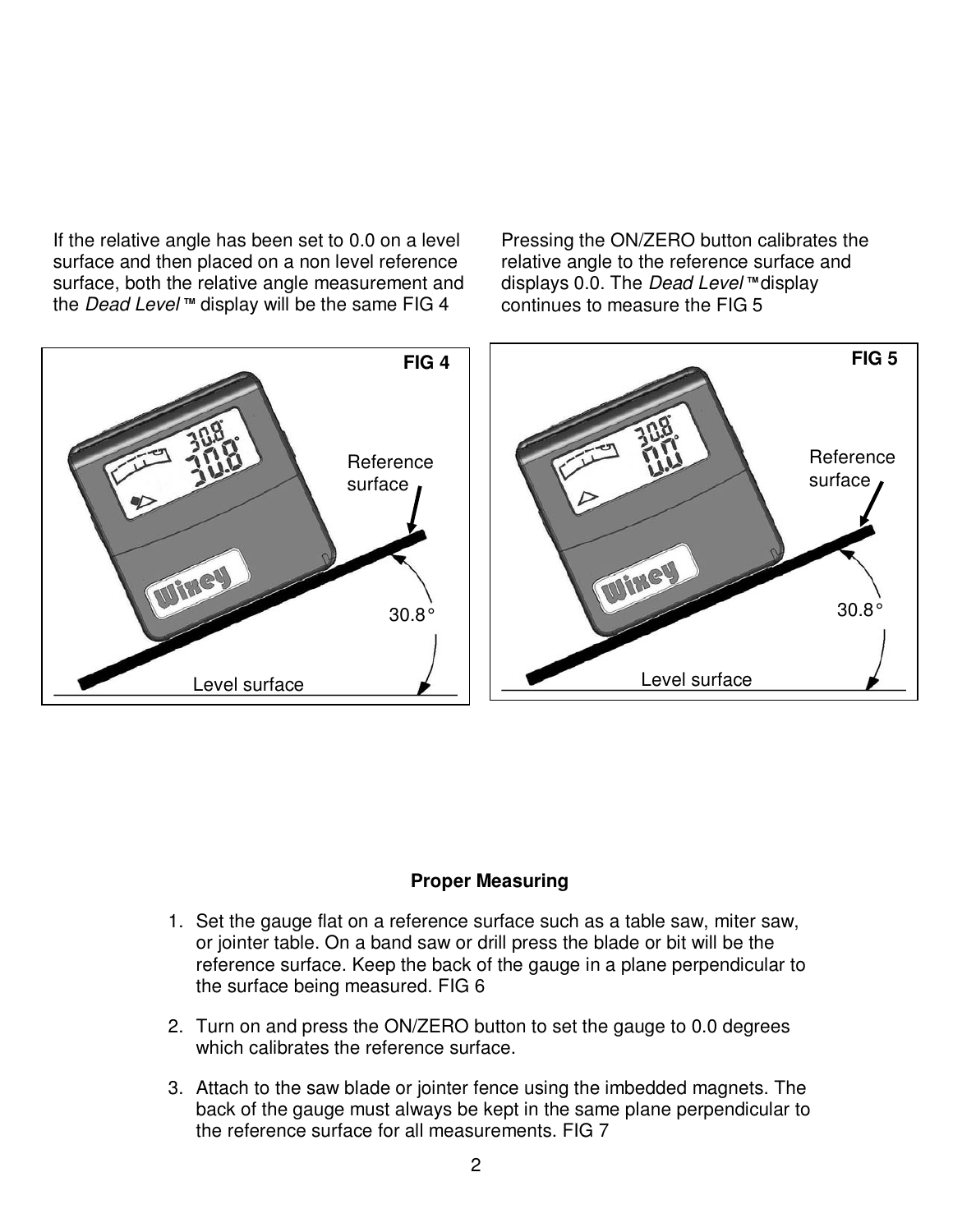If the relative angle has been set to 0.0 on a level surface and then placed on a non level reference surface, both the relative angle measurement and the *Dead Level* ™ display will be the same FIG 4

Pressing the ON/ZERO button calibrates the relative angle to the reference surface and displays 0.0. The *Dead Level* ™ display continues to measure the FIG 5



#### **Proper Measuring**

- 1. Set the gauge flat on a reference surface such as a table saw, miter saw, or jointer table. On a band saw or drill press the blade or bit will be the reference surface. Keep the back of the gauge in a plane perpendicular to the surface being measured. FIG 6
- 2. Turn on and press the ON/ZERO button to set the gauge to 0.0 degrees which calibrates the reference surface.
- 3. Attach to the saw blade or jointer fence using the imbedded magnets. The back of the gauge must always be kept in the same plane perpendicular to the reference surface for all measurements. FIG 7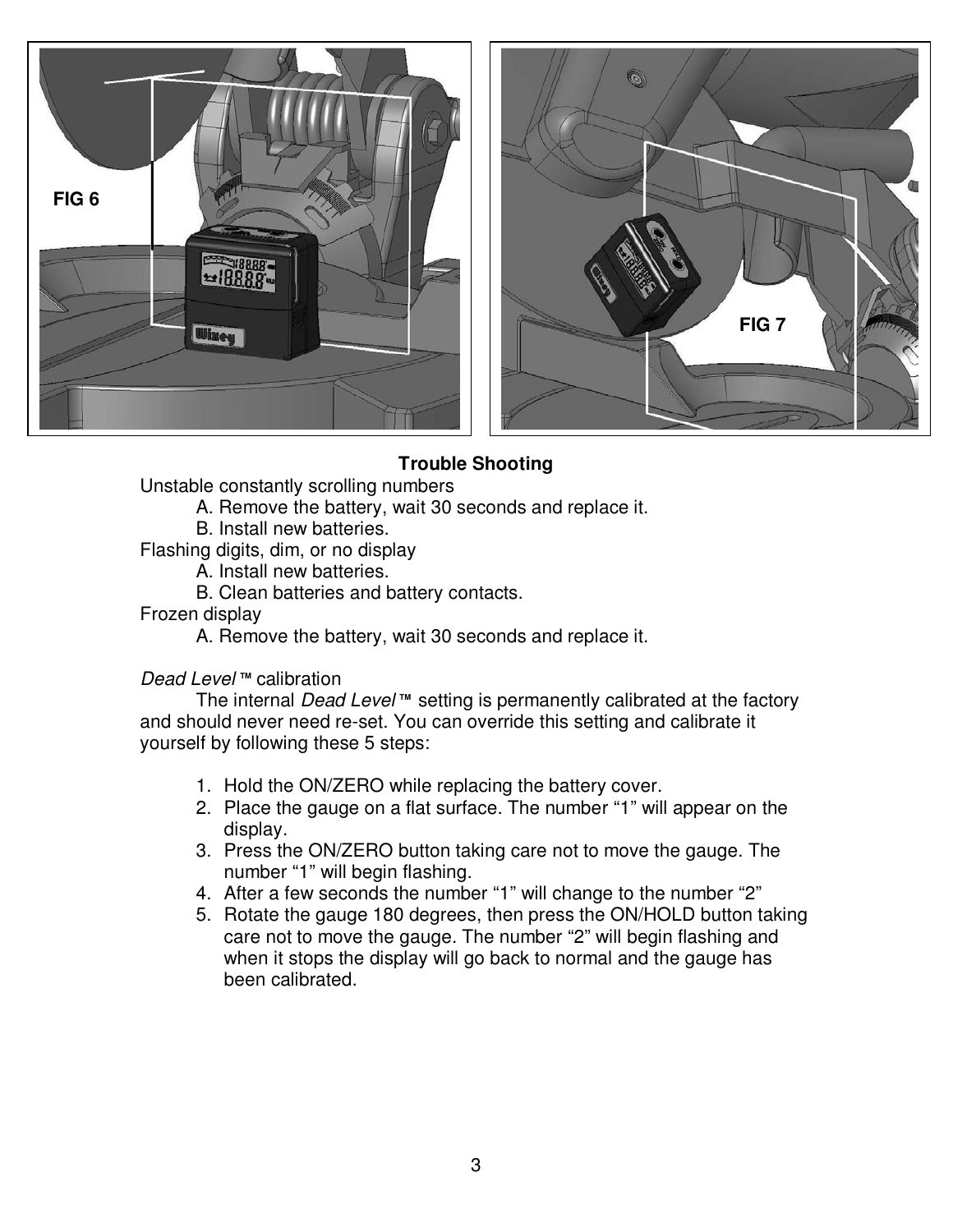

### **Trouble Shooting**

Unstable constantly scrolling numbers

- A. Remove the battery, wait 30 seconds and replace it.
	- B. Install new batteries.

Flashing digits, dim, or no display

- A. Install new batteries.
- B. Clean batteries and battery contacts.

#### Frozen display

A. Remove the battery, wait 30 seconds and replace it.

#### **Dead Level**™ calibration

The internal *Dead Level* ™ setting is permanently calibrated at the factory and should never need re-set. You can override this setting and calibrate it yourself by following these 5 steps:

- 1. Hold the ON/ZERO while replacing the battery cover.
- 2. Place the gauge on a flat surface. The number "1" will appear on the display.
- 3. Press the ON/ZERO button taking care not to move the gauge. The number "1" will begin flashing.
- 4. After a few seconds the number "1" will change to the number "2"
- 5. Rotate the gauge 180 degrees, then press the ON/HOLD button taking care not to move the gauge. The number "2" will begin flashing and when it stops the display will go back to normal and the gauge has been calibrated.